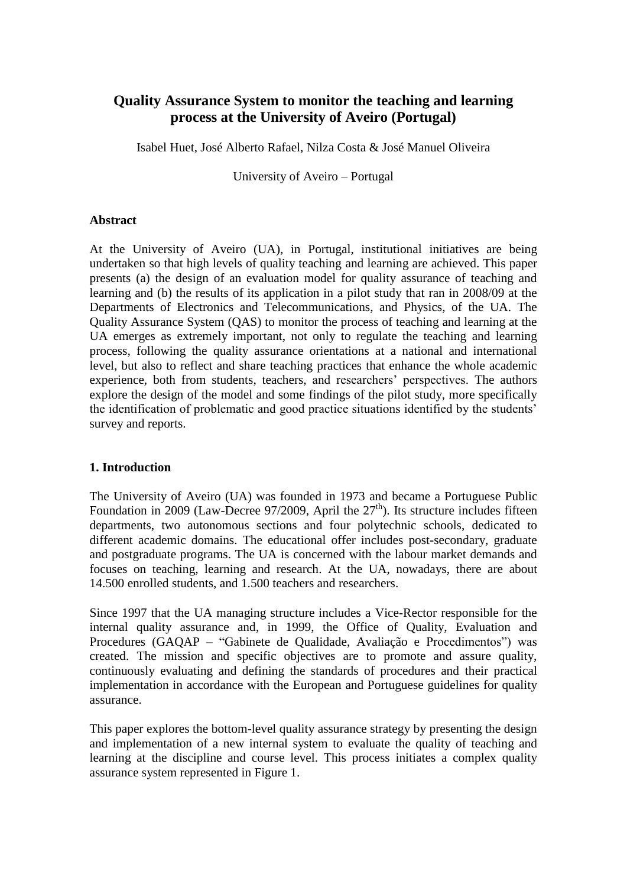# **Quality Assurance System to monitor the teaching and learning process at the University of Aveiro (Portugal)**

Isabel Huet, José Alberto Rafael, Nilza Costa & José Manuel Oliveira

University of Aveiro – Portugal

#### **Abstract**

At the University of Aveiro (UA), in Portugal, institutional initiatives are being undertaken so that high levels of quality teaching and learning are achieved. This paper presents (a) the design of an evaluation model for quality assurance of teaching and learning and (b) the results of its application in a pilot study that ran in 2008/09 at the Departments of Electronics and Telecommunications, and Physics, of the UA. The Quality Assurance System (QAS) to monitor the process of teaching and learning at the UA emerges as extremely important, not only to regulate the teaching and learning process, following the quality assurance orientations at a national and international level, but also to reflect and share teaching practices that enhance the whole academic experience, both from students, teachers, and researchers" perspectives. The authors explore the design of the model and some findings of the pilot study, more specifically the identification of problematic and good practice situations identified by the students" survey and reports.

# **1. Introduction**

The University of Aveiro (UA) was founded in 1973 and became a Portuguese Public Foundation in 2009 (Law-Decree 97/2009, April the  $27<sup>th</sup>$ ). Its structure includes fifteen departments, two autonomous sections and four polytechnic schools, dedicated to different academic domains. The educational offer includes post-secondary, graduate and postgraduate programs. The UA is concerned with the labour market demands and focuses on teaching, learning and research. At the UA, nowadays, there are about 14.500 enrolled students, and 1.500 teachers and researchers.

Since 1997 that the UA managing structure includes a Vice-Rector responsible for the internal quality assurance and, in 1999, the Office of Quality, Evaluation and Procedures (GAQAP – "Gabinete de Qualidade, Avaliação e Procedimentos") was created. The mission and specific objectives are to promote and assure quality, continuously evaluating and defining the standards of procedures and their practical implementation in accordance with the European and Portuguese guidelines for quality assurance.

This paper explores the bottom-level quality assurance strategy by presenting the design and implementation of a new internal system to evaluate the quality of teaching and learning at the discipline and course level. This process initiates a complex quality assurance system represented in Figure 1.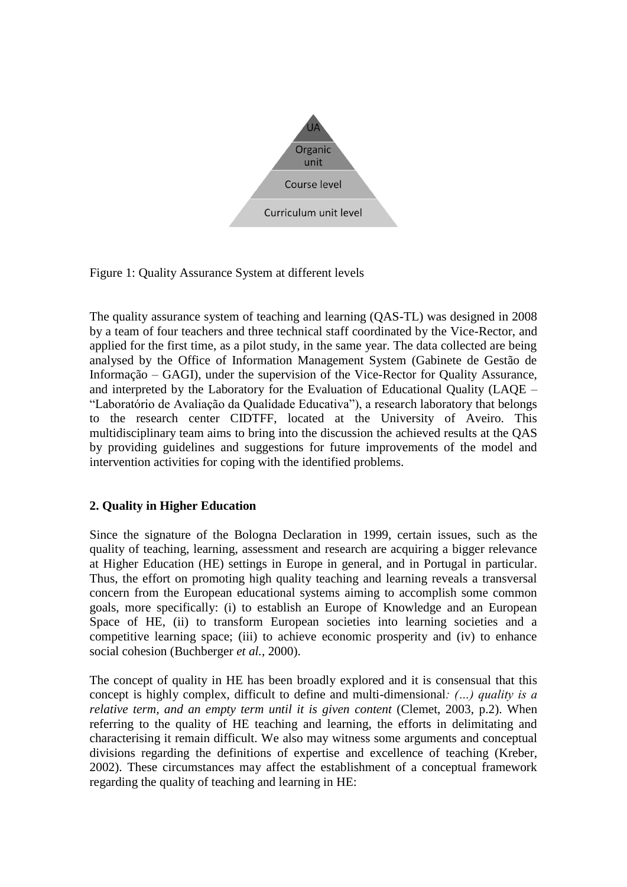

Figure 1: Quality Assurance System at different levels

The quality assurance system of teaching and learning (QAS-TL) was designed in 2008 by a team of four teachers and three technical staff coordinated by the Vice-Rector, and applied for the first time, as a pilot study, in the same year. The data collected are being analysed by the Office of Information Management System (Gabinete de Gestão de Informação – GAGI), under the supervision of the Vice-Rector for Quality Assurance, and interpreted by the Laboratory for the Evaluation of Educational Quality (LAQE – "Laboratório de Avaliação da Qualidade Educativa"), a research laboratory that belongs to the research center CIDTFF, located at the University of Aveiro. This multidisciplinary team aims to bring into the discussion the achieved results at the QAS by providing guidelines and suggestions for future improvements of the model and intervention activities for coping with the identified problems.

# **2. Quality in Higher Education**

Since the signature of the Bologna Declaration in 1999, certain issues, such as the quality of teaching, learning, assessment and research are acquiring a bigger relevance at Higher Education (HE) settings in Europe in general, and in Portugal in particular. Thus, the effort on promoting high quality teaching and learning reveals a transversal concern from the European educational systems aiming to accomplish some common goals, more specifically: (i) to establish an Europe of Knowledge and an European Space of HE, (ii) to transform European societies into learning societies and a competitive learning space; (iii) to achieve economic prosperity and (iv) to enhance social cohesion (Buchberger *et al.*, 2000).

The concept of quality in HE has been broadly explored and it is consensual that this concept is highly complex, difficult to define and multi-dimensional*: (…) quality is a relative term, and an empty term until it is given content* (Clemet, 2003, p.2). When referring to the quality of HE teaching and learning, the efforts in delimitating and characterising it remain difficult. We also may witness some arguments and conceptual divisions regarding the definitions of expertise and excellence of teaching (Kreber, 2002). These circumstances may affect the establishment of a conceptual framework regarding the quality of teaching and learning in HE: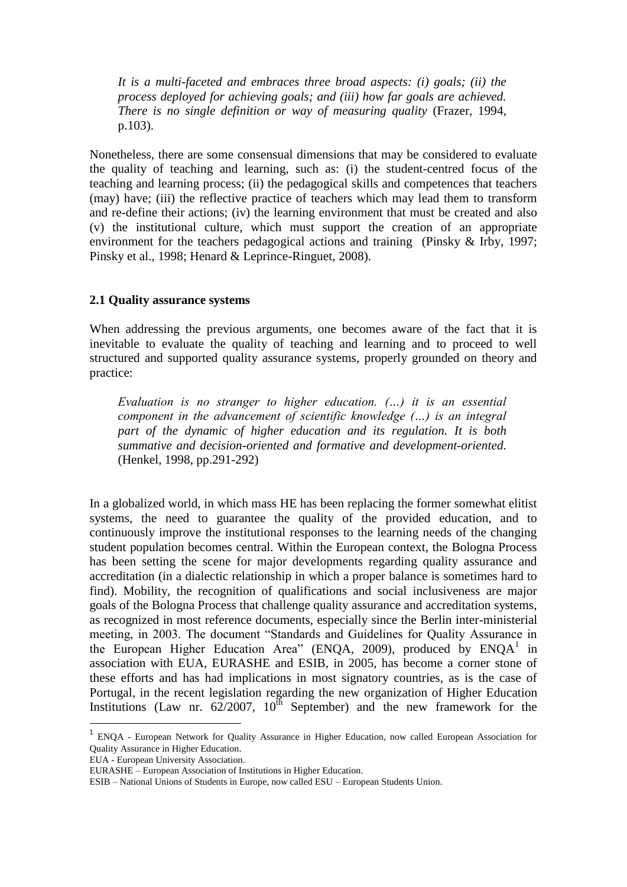*It is a multi-faceted and embraces three broad aspects: (i) goals; (ii) the process deployed for achieving goals; and (iii) how far goals are achieved. There is no single definition or way of measuring quality* (Frazer, 1994, p.103).

Nonetheless, there are some consensual dimensions that may be considered to evaluate the quality of teaching and learning, such as: (i) the student-centred focus of the teaching and learning process; (ii) the pedagogical skills and competences that teachers (may) have; (iii) the reflective practice of teachers which may lead them to transform and re-define their actions; (iv) the learning environment that must be created and also (v) the institutional culture, which must support the creation of an appropriate environment for the teachers pedagogical actions and training (Pinsky & Irby, 1997; Pinsky et al., 1998; Henard & Leprince-Ringuet, 2008).

#### **2.1 Quality assurance systems**

When addressing the previous arguments, one becomes aware of the fact that it is inevitable to evaluate the quality of teaching and learning and to proceed to well structured and supported quality assurance systems, properly grounded on theory and practice:

*Evaluation is no stranger to higher education. (…) it is an essential component in the advancement of scientific knowledge (…) is an integral part of the dynamic of higher education and its regulation. It is both summative and decision-oriented and formative and development-oriented.* (Henkel, 1998, pp.291-292)

In a globalized world, in which mass HE has been replacing the former somewhat elitist systems, the need to guarantee the quality of the provided education, and to continuously improve the institutional responses to the learning needs of the changing student population becomes central. Within the European context, the Bologna Process has been setting the scene for major developments regarding quality assurance and accreditation (in a dialectic relationship in which a proper balance is sometimes hard to find). Mobility, the recognition of qualifications and social inclusiveness are major goals of the Bologna Process that challenge quality assurance and accreditation systems, as recognized in most reference documents, especially since the Berlin inter-ministerial meeting, in 2003. The document "Standards and Guidelines for Quality Assurance in the European Higher Education Area" (ENQA, 2009), produced by ENQA<sup>1</sup> in association with EUA, EURASHE and ESIB, in 2005, has become a corner stone of these efforts and has had implications in most signatory countries, as is the case of Portugal, in the recent legislation regarding the new organization of Higher Education Institutions (Law nr.  $62/2007$ ,  $10^{th}$  September) and the new framework for the

EUA - European University Association.

**.** 

<sup>&</sup>lt;sup>1</sup> ENQA - European Network for Quality Assurance in Higher Education, now called European Association for Quality Assurance in Higher Education.

EURASHE – European Association of Institutions in Higher Education.

ESIB – National Unions of Students in Europe, now called ESU – European Students Union.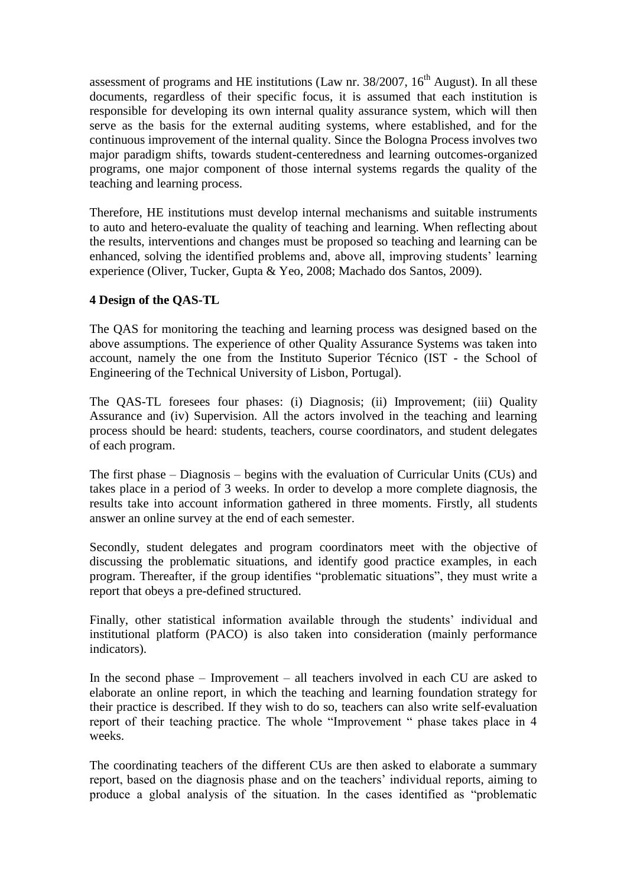assessment of programs and HE institutions (Law nr.  $38/2007$ ,  $16<sup>th</sup>$  August). In all these documents, regardless of their specific focus, it is assumed that each institution is responsible for developing its own internal quality assurance system, which will then serve as the basis for the external auditing systems, where established, and for the continuous improvement of the internal quality. Since the Bologna Process involves two major paradigm shifts, towards student-centeredness and learning outcomes-organized programs, one major component of those internal systems regards the quality of the teaching and learning process.

Therefore, HE institutions must develop internal mechanisms and suitable instruments to auto and hetero-evaluate the quality of teaching and learning. When reflecting about the results, interventions and changes must be proposed so teaching and learning can be enhanced, solving the identified problems and, above all, improving students' learning experience (Oliver, Tucker, Gupta & Yeo, 2008; Machado dos Santos, 2009).

## **4 Design of the QAS-TL**

The QAS for monitoring the teaching and learning process was designed based on the above assumptions. The experience of other Quality Assurance Systems was taken into account, namely the one from the Instituto Superior Técnico (IST - the School of Engineering of the Technical University of Lisbon, Portugal).

The QAS-TL foresees four phases: (i) Diagnosis; (ii) Improvement; (iii) Quality Assurance and (iv) Supervision. All the actors involved in the teaching and learning process should be heard: students, teachers, course coordinators, and student delegates of each program.

The first phase – Diagnosis – begins with the evaluation of Curricular Units (CUs) and takes place in a period of 3 weeks. In order to develop a more complete diagnosis, the results take into account information gathered in three moments. Firstly, all students answer an online survey at the end of each semester.

Secondly, student delegates and program coordinators meet with the objective of discussing the problematic situations, and identify good practice examples, in each program. Thereafter, if the group identifies "problematic situations", they must write a report that obeys a pre-defined structured.

Finally, other statistical information available through the students' individual and institutional platform (PACO) is also taken into consideration (mainly performance indicators).

In the second phase – Improvement – all teachers involved in each CU are asked to elaborate an online report, in which the teaching and learning foundation strategy for their practice is described. If they wish to do so, teachers can also write self-evaluation report of their teaching practice. The whole "Improvement " phase takes place in 4 weeks.

The coordinating teachers of the different CUs are then asked to elaborate a summary report, based on the diagnosis phase and on the teachers' individual reports, aiming to produce a global analysis of the situation. In the cases identified as "problematic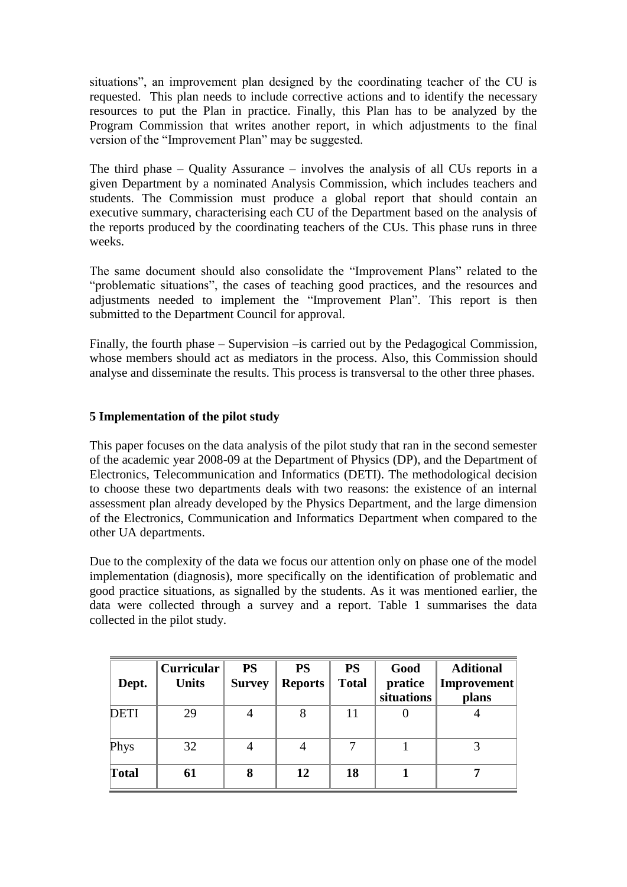situations", an improvement plan designed by the coordinating teacher of the CU is requested. This plan needs to include corrective actions and to identify the necessary resources to put the Plan in practice. Finally, this Plan has to be analyzed by the Program Commission that writes another report, in which adjustments to the final version of the "Improvement Plan" may be suggested.

The third phase – Quality Assurance – involves the analysis of all CUs reports in a given Department by a nominated Analysis Commission, which includes teachers and students. The Commission must produce a global report that should contain an executive summary, characterising each CU of the Department based on the analysis of the reports produced by the coordinating teachers of the CUs. This phase runs in three weeks.

The same document should also consolidate the "Improvement Plans" related to the "problematic situations", the cases of teaching good practices, and the resources and adjustments needed to implement the "Improvement Plan". This report is then submitted to the Department Council for approval.

Finally, the fourth phase – Supervision –is carried out by the Pedagogical Commission, whose members should act as mediators in the process. Also, this Commission should analyse and disseminate the results. This process is transversal to the other three phases.

# **5 Implementation of the pilot study**

This paper focuses on the data analysis of the pilot study that ran in the second semester of the academic year 2008-09 at the Department of Physics (DP), and the Department of Electronics, Telecommunication and Informatics (DETI). The methodological decision to choose these two departments deals with two reasons: the existence of an internal assessment plan already developed by the Physics Department, and the large dimension of the Electronics, Communication and Informatics Department when compared to the other UA departments.

Due to the complexity of the data we focus our attention only on phase one of the model implementation (diagnosis), more specifically on the identification of problematic and good practice situations, as signalled by the students. As it was mentioned earlier, the data were collected through a survey and a report. Table 1 summarises the data collected in the pilot study.

| Dept.       | <b>Curricular</b><br><b>Units</b> | <b>PS</b><br><b>Survey</b> | <b>PS</b><br><b>Reports</b> | <b>PS</b><br><b>Total</b> | Good<br>pratice<br>situations | <b>Aditional</b><br>Improvement<br>plans |
|-------------|-----------------------------------|----------------------------|-----------------------------|---------------------------|-------------------------------|------------------------------------------|
| <b>DETI</b> | 29                                |                            |                             | 11                        |                               |                                          |
| Phys        | 32                                |                            |                             | ⇁                         |                               |                                          |
| Total       | 61                                | 8                          | 12                          | 18                        |                               |                                          |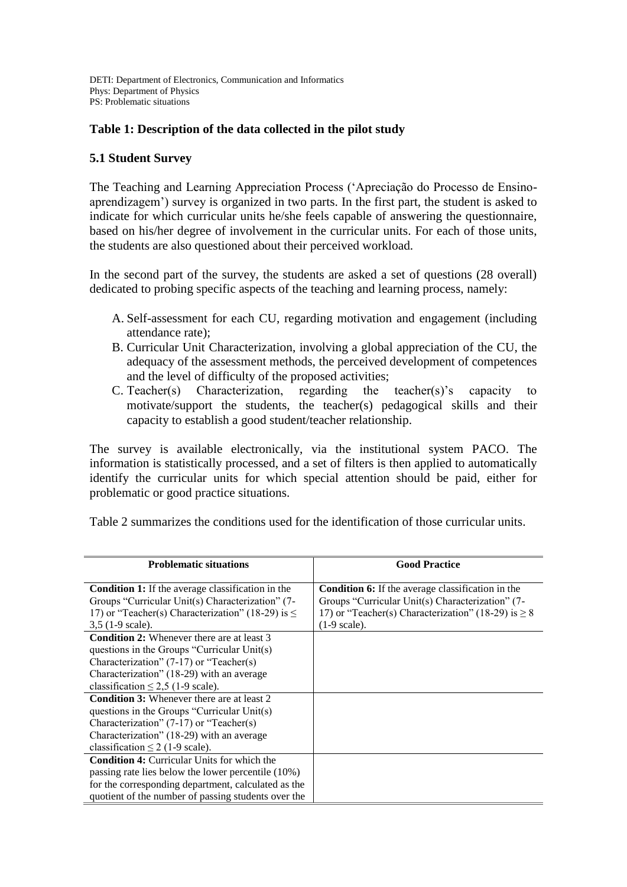DETI: Department of Electronics, Communication and Informatics Phys: Department of Physics PS: Problematic situations

## **Table 1: Description of the data collected in the pilot study**

#### **5.1 Student Survey**

The Teaching and Learning Appreciation Process ("Apreciação do Processo de Ensinoaprendizagem") survey is organized in two parts. In the first part, the student is asked to indicate for which curricular units he/she feels capable of answering the questionnaire, based on his/her degree of involvement in the curricular units. For each of those units, the students are also questioned about their perceived workload.

In the second part of the survey, the students are asked a set of questions (28 overall) dedicated to probing specific aspects of the teaching and learning process, namely:

- A. Self-assessment for each CU, regarding motivation and engagement (including attendance rate);
- B. Curricular Unit Characterization, involving a global appreciation of the CU, the adequacy of the assessment methods, the perceived development of competences and the level of difficulty of the proposed activities;
- C. Teacher(s) Characterization, regarding the teacher(s)'s capacity to motivate/support the students, the teacher(s) pedagogical skills and their capacity to establish a good student/teacher relationship.

The survey is available electronically, via the institutional system PACO. The information is statistically processed, and a set of filters is then applied to automatically identify the curricular units for which special attention should be paid, either for problematic or good practice situations.

Table 2 summarizes the conditions used for the identification of those curricular units.

| <b>Problematic situations</b>                            | <b>Good Practice</b>                                     |
|----------------------------------------------------------|----------------------------------------------------------|
|                                                          |                                                          |
| <b>Condition 1:</b> If the average classification in the | <b>Condition 6:</b> If the average classification in the |
| Groups "Curricular Unit(s) Characterization" (7-         | Groups "Curricular Unit(s) Characterization" (7-         |
| 17) or "Teacher(s) Characterization" (18-29) is $\leq$   | 17) or "Teacher(s) Characterization" (18-29) is $\geq 8$ |
| $3,5$ (1-9 scale).                                       | $(1-9 \text{ scale}).$                                   |
| <b>Condition 2:</b> Whenever there are at least 3        |                                                          |
| questions in the Groups "Curricular $Unit(s)$            |                                                          |
| Characterization" (7-17) or "Teacher(s)                  |                                                          |
| Characterization" (18-29) with an average                |                                                          |
| classification $\leq$ 2,5 (1-9 scale).                   |                                                          |
| <b>Condition 3:</b> Whenever there are at least 2        |                                                          |
| questions in the Groups "Curricular Unit(s)              |                                                          |
| Characterization" (7-17) or "Teacher(s)                  |                                                          |
| Characterization" (18-29) with an average                |                                                          |
| classification $\leq$ 2 (1-9 scale).                     |                                                          |
| <b>Condition 4:</b> Curricular Units for which the       |                                                          |
| passing rate lies below the lower percentile (10%)       |                                                          |
| for the corresponding department, calculated as the      |                                                          |
| quotient of the number of passing students over the      |                                                          |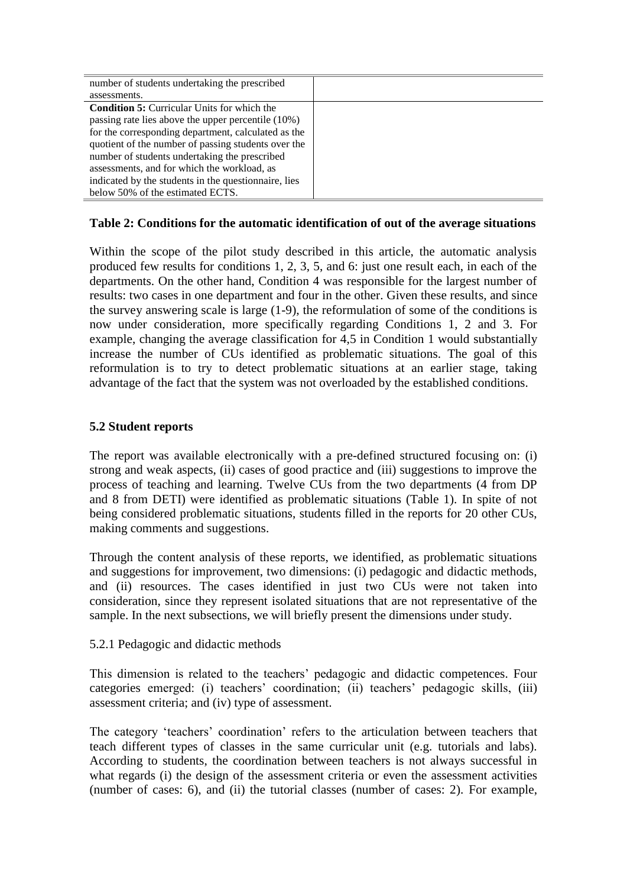| number of students undertaking the prescribed        |  |
|------------------------------------------------------|--|
| assessments.                                         |  |
| <b>Condition 5:</b> Curricular Units for which the   |  |
| passing rate lies above the upper percentile (10%)   |  |
| for the corresponding department, calculated as the  |  |
| quotient of the number of passing students over the  |  |
| number of students undertaking the prescribed        |  |
| assessments, and for which the workload, as          |  |
| indicated by the students in the questionnaire, lies |  |
| below 50% of the estimated ECTS.                     |  |

## **Table 2: Conditions for the automatic identification of out of the average situations**

Within the scope of the pilot study described in this article, the automatic analysis produced few results for conditions 1, 2, 3, 5, and 6: just one result each, in each of the departments. On the other hand, Condition 4 was responsible for the largest number of results: two cases in one department and four in the other. Given these results, and since the survey answering scale is large (1-9), the reformulation of some of the conditions is now under consideration, more specifically regarding Conditions 1, 2 and 3. For example, changing the average classification for 4,5 in Condition 1 would substantially increase the number of CUs identified as problematic situations. The goal of this reformulation is to try to detect problematic situations at an earlier stage, taking advantage of the fact that the system was not overloaded by the established conditions.

# **5.2 Student reports**

The report was available electronically with a pre-defined structured focusing on: (i) strong and weak aspects, (ii) cases of good practice and (iii) suggestions to improve the process of teaching and learning. Twelve CUs from the two departments (4 from DP and 8 from DETI) were identified as problematic situations (Table 1). In spite of not being considered problematic situations, students filled in the reports for 20 other CUs, making comments and suggestions.

Through the content analysis of these reports, we identified, as problematic situations and suggestions for improvement, two dimensions: (i) pedagogic and didactic methods, and (ii) resources. The cases identified in just two CUs were not taken into consideration, since they represent isolated situations that are not representative of the sample. In the next subsections, we will briefly present the dimensions under study.

5.2.1 Pedagogic and didactic methods

This dimension is related to the teachers" pedagogic and didactic competences. Four categories emerged: (i) teachers" coordination; (ii) teachers" pedagogic skills, (iii) assessment criteria; and (iv) type of assessment.

The category 'teachers' coordination' refers to the articulation between teachers that teach different types of classes in the same curricular unit (e.g. tutorials and labs). According to students, the coordination between teachers is not always successful in what regards (i) the design of the assessment criteria or even the assessment activities (number of cases: 6), and (ii) the tutorial classes (number of cases: 2). For example,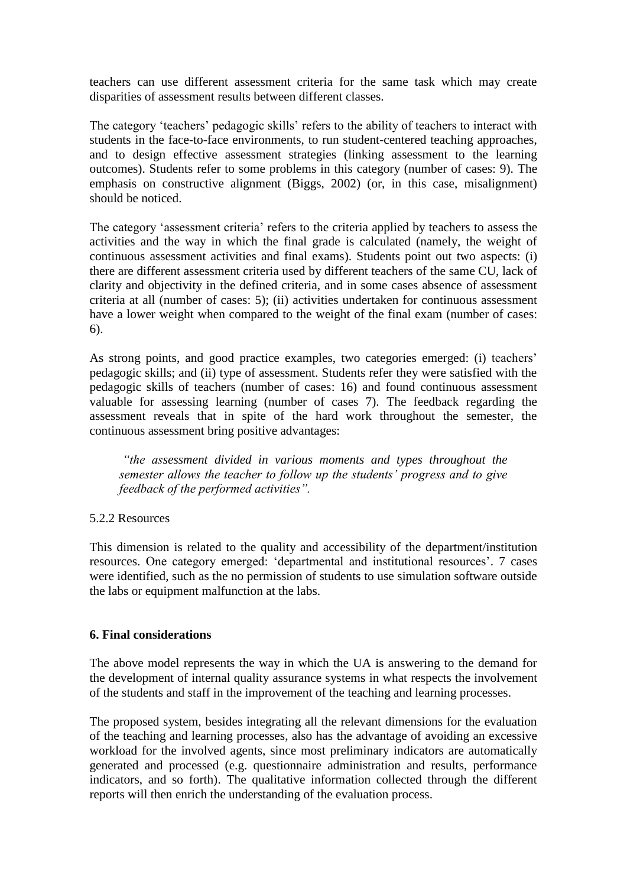teachers can use different assessment criteria for the same task which may create disparities of assessment results between different classes.

The category 'teachers' pedagogic skills' refers to the ability of teachers to interact with students in the face-to-face environments, to run student-centered teaching approaches, and to design effective assessment strategies (linking assessment to the learning outcomes). Students refer to some problems in this category (number of cases: 9). The emphasis on constructive alignment (Biggs, 2002) (or, in this case, misalignment) should be noticed.

The category "assessment criteria" refers to the criteria applied by teachers to assess the activities and the way in which the final grade is calculated (namely, the weight of continuous assessment activities and final exams). Students point out two aspects: (i) there are different assessment criteria used by different teachers of the same CU, lack of clarity and objectivity in the defined criteria, and in some cases absence of assessment criteria at all (number of cases: 5); (ii) activities undertaken for continuous assessment have a lower weight when compared to the weight of the final exam (number of cases: 6).

As strong points, and good practice examples, two categories emerged: (i) teachers' pedagogic skills; and (ii) type of assessment. Students refer they were satisfied with the pedagogic skills of teachers (number of cases: 16) and found continuous assessment valuable for assessing learning (number of cases 7). The feedback regarding the assessment reveals that in spite of the hard work throughout the semester, the continuous assessment bring positive advantages:

*"the assessment divided in various moments and types throughout the semester allows the teacher to follow up the students' progress and to give feedback of the performed activities".*

#### 5.2.2 Resources

This dimension is related to the quality and accessibility of the department/institution resources. One category emerged: 'departmental and institutional resources'. 7 cases were identified, such as the no permission of students to use simulation software outside the labs or equipment malfunction at the labs.

#### **6. Final considerations**

The above model represents the way in which the UA is answering to the demand for the development of internal quality assurance systems in what respects the involvement of the students and staff in the improvement of the teaching and learning processes.

The proposed system, besides integrating all the relevant dimensions for the evaluation of the teaching and learning processes, also has the advantage of avoiding an excessive workload for the involved agents, since most preliminary indicators are automatically generated and processed (e.g. questionnaire administration and results, performance indicators, and so forth). The qualitative information collected through the different reports will then enrich the understanding of the evaluation process.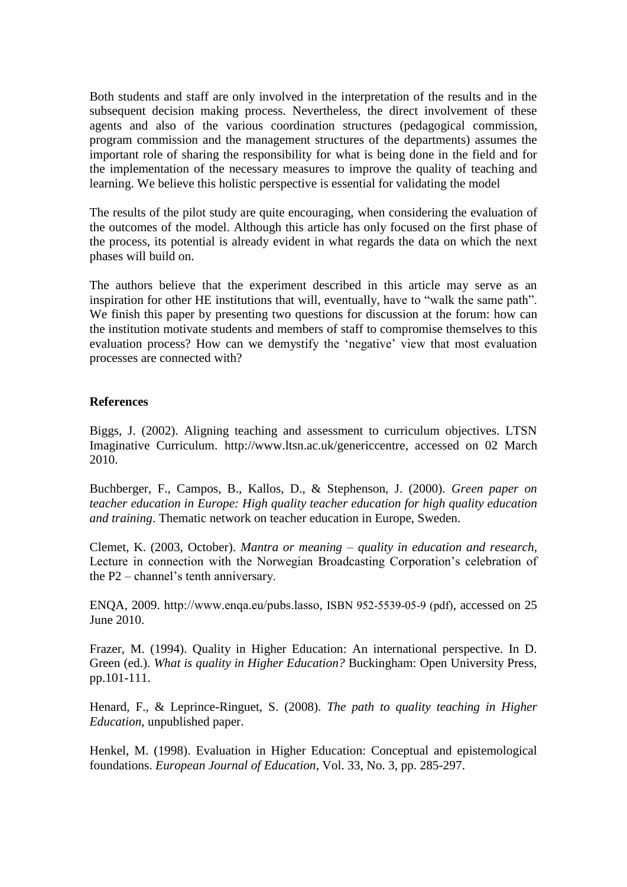Both students and staff are only involved in the interpretation of the results and in the subsequent decision making process. Nevertheless, the direct involvement of these agents and also of the various coordination structures (pedagogical commission, program commission and the management structures of the departments) assumes the important role of sharing the responsibility for what is being done in the field and for the implementation of the necessary measures to improve the quality of teaching and learning. We believe this holistic perspective is essential for validating the model

The results of the pilot study are quite encouraging, when considering the evaluation of the outcomes of the model. Although this article has only focused on the first phase of the process, its potential is already evident in what regards the data on which the next phases will build on.

The authors believe that the experiment described in this article may serve as an inspiration for other HE institutions that will, eventually, have to "walk the same path". We finish this paper by presenting two questions for discussion at the forum: how can the institution motivate students and members of staff to compromise themselves to this evaluation process? How can we demystify the "negative" view that most evaluation processes are connected with?

## **References**

Biggs, J. (2002). Aligning teaching and assessment to curriculum objectives. LTSN Imaginative Curriculum. [http://www.ltsn.ac.uk/genericcentre,](http://www.ltsn.ac.uk/genericcentre) accessed on 02 March 2010.

Buchberger, F., Campos, B., Kallos, D., & Stephenson, J. (2000). *Green paper on teacher education in Europe: High quality teacher education for high quality education and training*. Thematic network on teacher education in Europe, Sweden.

Clemet, K. (2003, October). *Mantra or meaning – quality in education and research*, Lecture in connection with the Norwegian Broadcasting Corporation's celebration of the P2 – channel's tenth anniversary.

ENQA, 2009. http://www.enqa.eu/pubs.lasso, ISBN 952-5539-05-9 (pdf), accessed on 25 June 2010.

Frazer, M. (1994). Quality in Higher Education: An international perspective. In D. Green (ed.). *What is quality in Higher Education?* Buckingham: Open University Press, pp.101-111.

Henard, F., & Leprince-Ringuet, S. (2008). *The path to quality teaching in Higher Education*, unpublished paper.

Henkel, M. (1998). Evaluation in Higher Education: Conceptual and epistemological foundations. *European Journal of Education*, Vol. 33, No. 3, pp. 285-297.